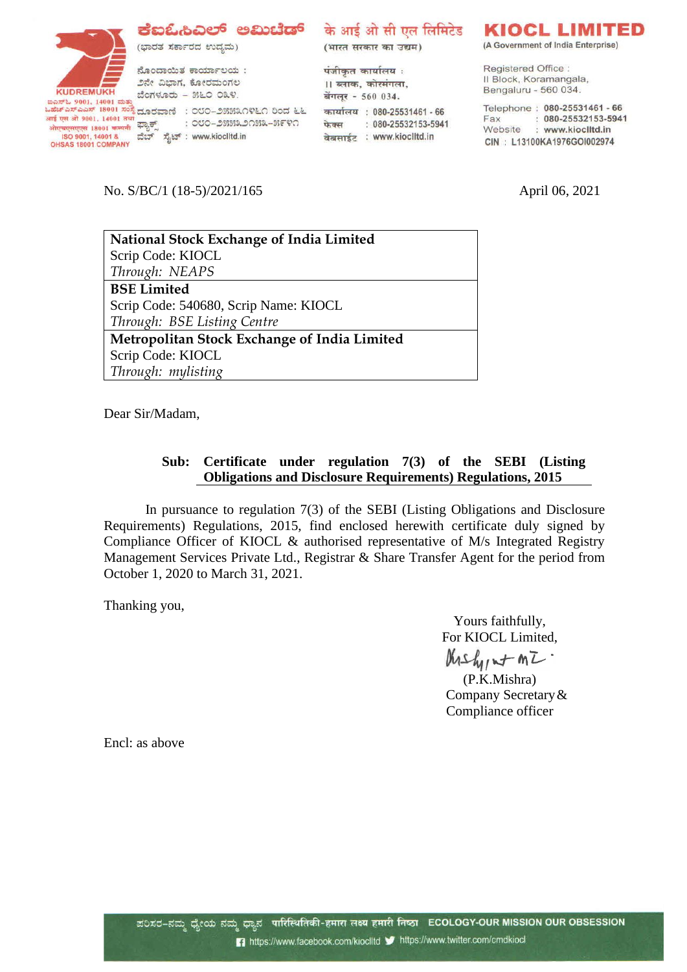**KUDREMUKH** ಗಿರುಗಲಾಗಿರಿಗೆ ಬೆಂಗಳೂರು – ೫೬೦ ೦೩೪.<br>ಬಹೆಚ್ಎಸ್ಎಎಸ್ 18001 ಸಂಸ್ಥೆ ದೂರವಾಣಿ : ೦೮೦–೨೫೫೩೧೪೬೧ ರಿಂದ ೬೬<br>ಏಕೆಟ್ಎಸ್ಎಎಸ್ 18001 ಸಂಸ್ಥೆ ದೂರವಾಣಿ : ೦೮೦–೨೫೫೩೧೪೬೧ ರಿಂದ ೬೬ आई एस ओ 9001, 14001 तया<br>ओएबएसएएस 18001 कम्पनी <sup>द्वाउ</sup>ुर्णै<br>ISO 9001, 14001 & ಪೆಬ್<br>OHSAS 18001 COMPANY

## ಕೆಐಓಿಸಿಎಲ್ ಅಮಿಟೆಡ್ के आई ओ सी एल लिमिटेड

(ಭಾರತ ಸರ್ಕಾರದ ಉದ್ಯಮ)

ನೊಂದಾಯಿತ ಕಾರ್ಯಾಲಯ : ೨ನೇ ವಿಭಾಗ, ಕೋರಮಂಗಲ ಬೆಂಗಳೂರು - ೫೬೦ ೦೩೪.

: ೦೮೦–೨೫೫೩೨೧೫೩–೫೯೪೧ <del>showonova</del> 18001 <del>ಕೂಡನ</del>ೇ ಫ್ಯಾಕ್ಸ್ ರಾಖಲು ಮಾಡಿಸಿದಿರುವ ISO 9001, 14001 & ವೆಬ್ ಸೈಟ್ : www.kioclitd.in<br>ISO 9001, 14001 & ವೆಬ್ ಸೈಟ್ : www.kioclitd.in

(भारत सरकार का उद्यम)

पंजीकृत कार्यालय: ।। ब्लाक, कोरमंगला, बेंगलूर - 560 034. कार्यालय : 080-25531461 - 66 फेक्स: 080-25532153-5941 वेबसाईट : www.kioclitd.in

# KIOCL LIMITED

(A Government of India Enterprise)

Registered Office: Il Block, Koramangala, Bengaluru - 560 034.

Telephone: 080-25531461 - 66 Fax: : 080-25532153-5941<br>Website : www.kioclitd.in CIN: L13100KA1976GOI002974

No. S/BC/1 (18-5)/2021/165 April 06, 2021

| <b>National Stock Exchange of India Limited</b> |
|-------------------------------------------------|
| Scrip Code: KIOCL                               |
| Through: NEAPS                                  |
| <b>BSE Limited</b>                              |
| Scrip Code: 540680, Scrip Name: KIOCL           |
| Through: BSE Listing Centre                     |
| Metropolitan Stock Exchange of India Limited    |
| Scrip Code: KIOCL                               |
| Through: mylisting                              |

Dear Sir/Madam,

## **Sub: Certificate under regulation 7(3) of the SEBI (Listing Obligations and Disclosure Requirements) Regulations, 2015**

In pursuance to regulation 7(3) of the SEBI (Listing Obligations and Disclosure Requirements) Regulations, 2015, find enclosed herewith certificate duly signed by Compliance Officer of KIOCL & authorised representative of M/s Integrated Registry Management Services Private Ltd., Registrar & Share Transfer Agent for the period from October 1, 2020 to March 31, 2021.

Thanking you,

Yours faithfully, For KIOCL Limited, Krshint MI.

(P.K.Mishra) Company Secretary& Compliance officer

Encl: as above